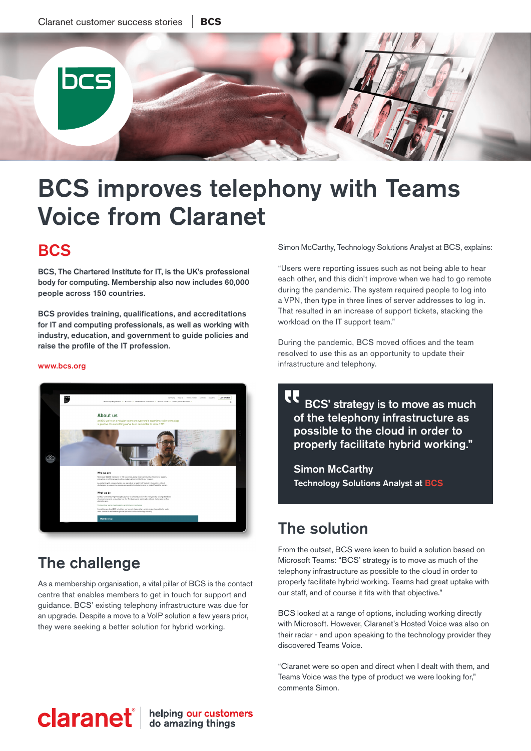

 $\overline{\phantom{a}}$ 

# BCS improves telephony with Teams Voice from Claranet

### **BCS**

BCS, The Chartered Institute for IT, is the UK's professional body for computing. Membership also now includes 60,000 people across 150 countries.

BCS provides training, qualifications, and accreditations for IT and computing professionals, as well as working with industry, education, and government to guide policies and raise the profile of the IT profession.

#### [ww](https://www.bcs.org)w.bcs.org



# The challenge

As a membership organisation, a vital pillar of BCS is the contact centre that enables members to get in touch for support and guidance. BCS' existing telephony infrastructure was due for an upgrade. Despite a move to a VoIP solution a few years prior, they were seeking a better solution for hybrid working.

Simon McCarthy, Technology Solutions Analyst at BCS, explains:

"Users were reporting issues such as not being able to hear each other, and this didn't improve when we had to go remote during the pandemic. The system required people to log into a VPN, then type in three lines of server addresses to log in. That resulted in an increase of support tickets, stacking the workload on the IT support team."

During the pandemic, BCS moved offices and the team resolved to use this as an opportunity to update their infrastructure and telephony.

 BCS' strategy is to move as much of the telephony infrastructure as possible to the cloud in order to properly facilitate hybrid working."

Simon McCarthy Technology Solutions Analyst at BCS

# The solution

From the outset, BCS were keen to build a solution based on Microsoft Teams: "BCS' strategy is to move as much of the telephony infrastructure as possible to the cloud in order to properly facilitate hybrid working. Teams had great uptake with our staff, and of course it fits with that objective."

BCS looked at a range of options, including working directly with Microsoft. However, Claranet's Hosted Voice was also on their radar - and upon speaking to the technology provider they discovered Teams Voice.

"Claranet were so open and direct when I dealt with them, and Teams Voice was the type of product we were looking for," comments Simon.

# **claranet** ab amazing things